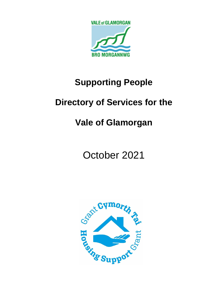

# **Supporting People**

# **Directory of Services for the**

# **Vale of Glamorgan**

October 2021

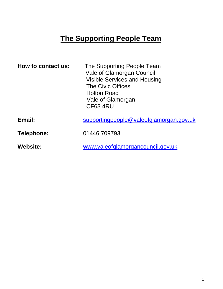# **The Supporting People Team**

| How to contact us: | The Supporting People Team<br><b>Vale of Glamorgan Council</b><br><b>Visible Services and Housing</b><br><b>The Civic Offices</b><br><b>Holton Road</b><br>Vale of Glamorgan<br><b>CF63 4RU</b> |
|--------------------|-------------------------------------------------------------------------------------------------------------------------------------------------------------------------------------------------|
| Email:             | supportingpeople@valeofglamorgan.gov.uk                                                                                                                                                         |
| Telephone:         | 01446 709793                                                                                                                                                                                    |
| <b>Website:</b>    | www.valeofglamorgancouncil.gov.uk                                                                                                                                                               |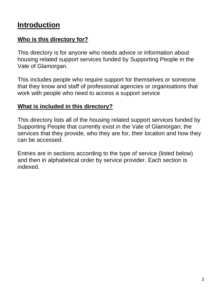# **Introduction**

## **Who is this directory for?**

This directory is for anyone who needs advice or information about housing related support services funded by Supporting People in the Vale of Glamorgan.

This includes people who require support for themselves or someone that they know and staff of professional agencies or organisations that work with people who need to access a support service

## **What is included in this directory?**

This directory lists all of the housing related support services funded by Supporting People that currently exist in the Vale of Glamorgan; the services that they provide, who they are for, their location and how they can be accessed.

Entries are in sections according to the type of service (listed below) and then in alphabetical order by service provider. Each section is indexed.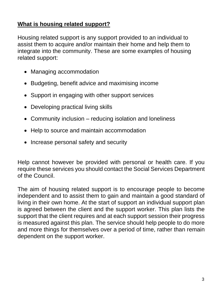## **What is housing related support?**

Housing related support is any support provided to an individual to assist them to acquire and/or maintain their home and help them to integrate into the community. These are some examples of housing related support:

- Managing accommodation
- Budgeting, benefit advice and maximising income
- Support in engaging with other support services
- Developing practical living skills
- Community inclusion reducing isolation and loneliness
- Help to source and maintain accommodation
- Increase personal safety and security

Help cannot however be provided with personal or health care. If you require these services you should contact the Social Services Department of the Council.

The aim of housing related support is to encourage people to become independent and to assist them to gain and maintain a good standard of living in their own home. At the start of support an individual support plan is agreed between the client and the support worker. This plan lists the support that the client requires and at each support session their progress is measured against this plan. The service should help people to do more and more things for themselves over a period of time, rather than remain dependent on the support worker.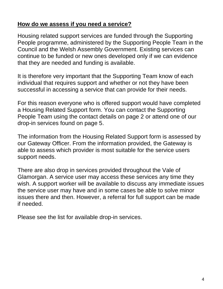## **How do we assess if you need a service?**

Housing related support services are funded through the Supporting People programme, administered by the Supporting People Team in the Council and the Welsh Assembly Government. Existing services can continue to be funded or new ones developed only if we can evidence that they are needed and funding is available.

It is therefore very important that the Supporting Team know of each individual that requires support and whether or not they have been successful in accessing a service that can provide for their needs.

For this reason everyone who is offered support would have completed a Housing Related Support form. You can contact the Supporting People Team using the contact details on page 2 or attend one of our drop-in services found on page 5.

The information from the Housing Related Support form is assessed by our Gateway Officer. From the information provided, the Gateway is able to assess which provider is most suitable for the service users support needs.

There are also drop in services provided throughout the Vale of Glamorgan. A service user may access these services any time they wish. A support worker will be available to discuss any immediate issues the service user may have and in some cases be able to solve minor issues there and then. However, a referral for full support can be made if needed.

Please see the list for available drop-in services.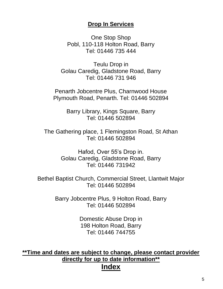#### **Drop In Services**

One Stop Shop Pobl, 110-118 Holton Road, Barry Tel: 01446 735 444

Teulu Drop in Golau Caredig, Gladstone Road, Barry Tel: 01446 731 946

Penarth Jobcentre Plus, Charnwood House Plymouth Road, Penarth. Tel: 01446 502894

> Barry Library, Kings Square, Barry Tel: 01446 502894

The Gathering place, 1 Flemingston Road, St Athan [Tel: 01446](tel:01446) 502894

> Hafod, Over 55's Drop in. Golau Caredig, Gladstone Road, Barry Tel: 01446 731942

Bethel Baptist Church, Commercial Street, Llantwit Major Tel: 01446 502894

> Barry Jobcentre Plus, 9 Holton Road, Barry Tel: 01446 502894

> > Domestic Abuse Drop in 198 Holton Road, Barry Tel: 01446 744755

**\*\*Time and dates are subject to change, please contact provider directly for up to date information\*\***

## **Index**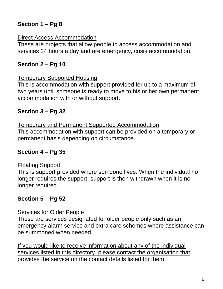# **Section 1 – Pg 8**

#### Direct Access Accommodation

These are projects that allow people to access accommodation and services 24 hours a day and are emergency, crisis accommodation.

# **Section 2 – Pg 10**

#### Temporary Supported Housing

This is accommodation with support provided for up to a maximum of two years until someone is ready to move to his or her own permanent accommodation with or without support.

## **Section 3 – Pg 32**

Temporary and Permanent Supported Accommodation This accommodation with support can be provided on a temporary or permanent basis depending on circumstance.

# **Section 4 – Pg 35**

## Floating Support

This is support provided where someone lives. When the individual no longer requires the support, support is then withdrawn when it is no longer required.

## **Section 5 – Pg 52**

#### Services for Older People

These are services designated for older people only such as an emergency alarm service and extra care schemes where assistance can be summoned when needed.

If you would like to receive information about any of the individual services listed in this directory, please contact the organisation that provides the service on the contact details listed for them.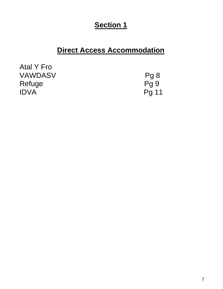# **Section 1**

# **Direct Access Accommodation**

| Atal Y Fro     |       |
|----------------|-------|
| <b>VAWDASV</b> | Pg 8  |
| Refuge         | Pq 9  |
| <b>IDVA</b>    | Pg 11 |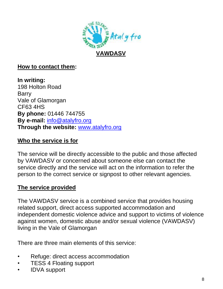

#### **How to contact them:**

**In writing:** 198 Holton Road Barry Vale of Glamorgan CF63 4HS **By phone:** 01446 744755 **By e-mail:** [info@atalyfro.org](#page-9-0)  **Through the website:** [www.atalyfro.org](http://www.atalyfro.org/)

#### **Who the service is for**

The service will be directly accessible to the public and those affected by VAWDASV or concerned about someone else can contact the service directly and the service will act on the information to refer the person to the correct service or signpost to other relevant agencies.

#### **The service provided**

The VAWDASV service is a combined service that provides housing related support, direct access supported accommodation and independent domestic violence advice and support to victims of violence against women, domestic abuse and/or sexual violence (VAWDASV) living in the Vale of Glamorgan

There are three main elements of this service:

- Refuge: direct access accommodation
- TESS 4 Floating support
- IDVA support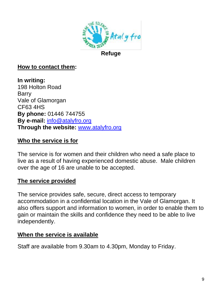

#### **How to contact them:**

**In writing:** 198 Holton Road Barry Vale of Glamorgan CF63 4HS **By phone:** 01446 744755 **By e-mail:** [info@atalyfro.org](#page-9-0)  **Through the website:** [www.atalyfro.org](http://www.atalyfro.org/)

#### <span id="page-9-0"></span>**Who the service is for**

The service is for women and their children who need a safe place to live as a result of having experienced domestic abuse. Male children over the age of 16 are unable to be accepted.

#### **The service provided**

The service provides safe, secure, direct access to temporary accommodation in a confidential location in the Vale of Glamorgan. It also offers support and information to women, in order to enable them to gain or maintain the skills and confidence they need to be able to live independently.

#### **When the service is available**

Staff are available from 9.30am to 4.30pm, Monday to Friday.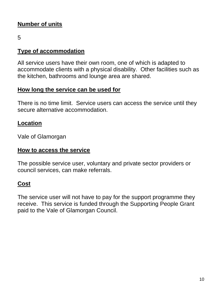# **Number of units**

5

#### **Type of accommodation**

All service users have their own room, one of which is adapted to accommodate clients with a physical disability. Other facilities such as the kitchen, bathrooms and lounge area are shared.

## **How long the service can be used for**

There is no time limit. Service users can access the service until they secure alternative accommodation.

## **Location**

Vale of Glamorgan

## **How to access the service**

The possible service user, voluntary and private sector providers or council services, can make referrals.

## **Cost**

The service user will not have to pay for the support programme they receive. This service is funded through the Supporting People Grant paid to the Vale of Glamorgan Council.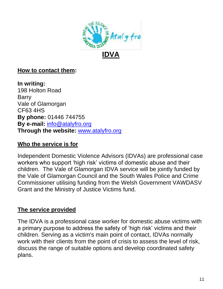

## **How to contact them:**

**In writing:** 198 Holton Road Barry Vale of Glamorgan CF63 4HS **By phone:** 01446 744755 **By e-mail:** [info@atalyfro.org](#page-9-0)  **Through the website:** [www.atalyfro.org](http://www.atalyfro.org/)

## **Who the service is for**

Independent Domestic Violence Advisors (IDVAs) are professional case workers who support 'high risk' victims of domestic abuse and their children. The Vale of Glamorgan IDVA service will be jointly funded by the Vale of Glamorgan Council and the South Wales Police and Crime Commissioner utilising funding from the Welsh Government VAWDASV Grant and the Ministry of Justice Victims fund.

#### **The service provided**

The IDVA is a professional case worker for domestic abuse victims with a primary purpose to address the safety of 'high risk' victims and their children. Serving as a victim's main point of contact, IDVAs normally work with their clients from the point of crisis to assess the level of risk, discuss the range of suitable options and develop coordinated safety plans.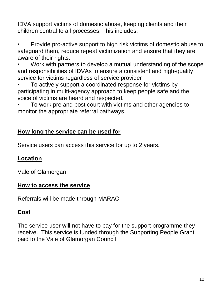IDVA support victims of domestic abuse, keeping clients and their children central to all processes. This includes:

• Provide pro-active support to high risk victims of domestic abuse to safeguard them, reduce repeat victimization and ensure that they are aware of their rights.

• Work with partners to develop a mutual understanding of the scope and responsibilities of IDVAs to ensure a consistent and high-quality service for victims regardless of service provider

• To actively support a coordinated response for victims by participating in multi-agency approach to keep people safe and the voice of victims are heard and respected.

• To work pre and post court with victims and other agencies to monitor the appropriate referral pathways.

## **How long the service can be used for**

Service users can access this service for up to 2 years.

## **Location**

Vale of Glamorgan

## **How to access the service**

Referrals will be made through MARAC

# **Cost**

The service user will not have to pay for the support programme they receive. This service is funded through the Supporting People Grant paid to the Vale of Glamorgan Council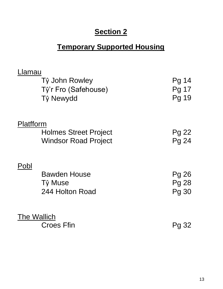# **Section 2**

# **Temporary Supported Housing**

| Llamau    |                              |              |
|-----------|------------------------------|--------------|
|           | Tŷ John Rowley               | Pg 14        |
|           | Tŷ'r Fro (Safehouse)         | Pg 17        |
|           | Tŷ Newydd                    | Pg 19        |
|           |                              |              |
| Platfform |                              |              |
|           | <b>Holmes Street Project</b> | Pg 22        |
|           | <b>Windsor Road Project</b>  | Pg 24        |
|           |                              |              |
| Pobl      |                              |              |
|           | <b>Bawden House</b>          | Pg 26        |
|           | Tŷ Muse                      | <b>Pg 28</b> |
|           | 244 Holton Road              | <b>Pg 30</b> |
|           |                              |              |
|           | <b>The Wallich</b>           |              |
|           | <b>Croes Ffin</b>            | Pg 32        |
|           |                              |              |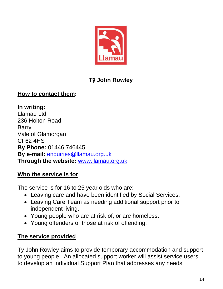

# **Tŷ John Rowley**

## **How to contact them:**

**In writing:** Llamau Ltd 236 Holton Road Barry Vale of Glamorgan CF62 4HS **By Phone:** 01446 746445 **By e-mail:** [enquiries@llamau.org.uk](mailto:enquiries@llamau.org.uk) **Through the website:** [www.llamau.org.uk](http://www.llamau.org.uk/)

## **Who the service is for**

The service is for 16 to 25 year olds who are:

- Leaving care and have been identified by Social Services.
- Leaving Care Team as needing additional support prior to independent living.
- Young people who are at risk of, or are homeless.
- Young offenders or those at risk of offending.

## **The service provided**

Ty John Rowley aims to provide temporary accommodation and support to young people. An allocated support worker will assist service users to develop an Individual Support Plan that addresses any needs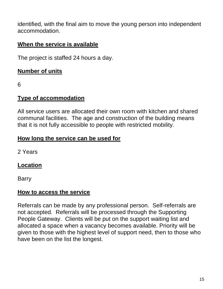identified, with the final aim to move the young person into independent accommodation.

## **When the service is available**

The project is staffed 24 hours a day.

## **Number of units**

6

#### **Type of accommodation**

All service users are allocated their own room with kitchen and shared communal facilities. The age and construction of the building means that it is not fully accessible to people with restricted mobility.

#### **How long the service can be used for**

2 Years

## **Location**

Barry

#### **How to access the service**

Referrals can be made by any professional person. Self-referrals are not accepted. Referrals will be processed through the Supporting People Gateway. Clients will be put on the support waiting list and allocated a space when a vacancy becomes available. Priority will be given to those with the highest level of support need, then to those who have been on the list the longest.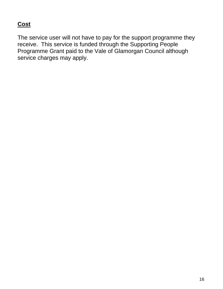# **Cost**

The service user will not have to pay for the support programme they receive. This service is funded through the Supporting People Programme Grant paid to the Vale of Glamorgan Council although service charges may apply.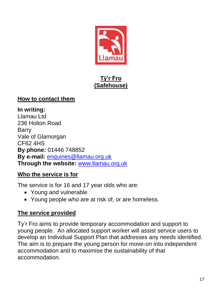

## **Tŷ'r Fro (Safehouse)**

## **How to contact them**

**In writing:** Llamau Ltd 236 Holton Road Barry Vale of Glamorgan CF62 4HS **By phone:** 01446 748852 **By e-mail:** [enquiries@llamau.org.uk](mailto:enquiries@llamau.org.uk) **Through the website:** [www.llamau.org.uk](http://www.llamau.org.uk/)

## **Who the service is for**

The service is for 16 and 17 year olds who are:

- Young and vulnerable
- Young people who are at risk of, or are homeless.

## **The service provided**

Ty'r Fro aims to provide temporary accommodation and support to young people. An allocated support worker will assist service users to develop an Individual Support Plan that addresses any needs identified. The aim is to prepare the young person for move-on into independent accommodation and to maximise the sustainability of that accommodation.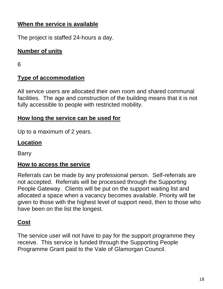## **When the service is available**

The project is staffed 24-hours a day.

## **Number of units**

6

## **Type of accommodation**

All service users are allocated their own room and shared communal facilities. The age and construction of the building means that it is not fully accessible to people with restricted mobility.

## **How long the service can be used for**

Up to a maximum of 2 years.

## **Location**

Barry

## **How to access the service**

Referrals can be made by any professional person. Self-referrals are not accepted. Referrals will be processed through the Supporting People Gateway. Clients will be put on the support waiting list and allocated a space when a vacancy becomes available. Priority will be given to those with the highest level of support need, then to those who have been on the list the longest.

# **Cost**

The service user will not have to pay for the support programme they receive. This service is funded through the Supporting People Programme Grant paid to the Vale of Glamorgan Council.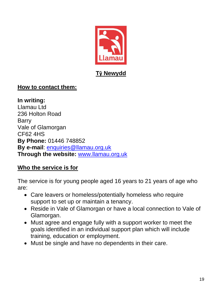

## **How to contact them:**

**In writing:** Llamau Ltd 236 Holton Road Barry Vale of Glamorgan CF62 4HS **By Phone:** 01446 748852 **By e-mail**: [enquiries@llamau.org.uk](mailto:enquiries@llamau.org.uk) **Through the website:** [www.llamau.org.uk](http://www.llamau.org.uk/)

## **Who the service is for**

The service is for young people aged 16 years to 21 years of age who are:

- Care leavers or homeless/potentially homeless who require support to set up or maintain a tenancy.
- Reside in Vale of Glamorgan or have a local connection to Vale of Glamorgan.
- Must agree and engage fully with a support worker to meet the goals identified in an individual support plan which will include training, education or employment.
- Must be single and have no dependents in their care.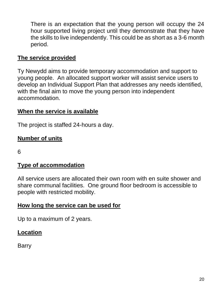There is an expectation that the young person will occupy the 24 hour supported living project until they demonstrate that they have the skills to live independently. This could be as short as a 3-6 month period.

## **The service provided**

Ty Newydd aims to provide temporary accommodation and support to young people. An allocated support worker will assist service users to develop an Individual Support Plan that addresses any needs identified, with the final aim to move the young person into independent accommodation.

## **When the service is available**

The project is staffed 24-hours a day.

## **Number of units**

6

#### **Type of accommodation**

All service users are allocated their own room with en suite shower and share communal facilities. One ground floor bedroom is accessible to people with restricted mobility.

#### **How long the service can be used for**

Up to a maximum of 2 years.

## **Location**

Barry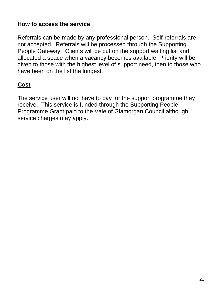## **How to access the service**

Referrals can be made by any professional person. Self-referrals are not accepted. Referrals will be processed through the Supporting People Gateway. Clients will be put on the support waiting list and allocated a space when a vacancy becomes available. Priority will be given to those with the highest level of support need, then to those who have been on the list the longest.

# **Cost**

The service user will not have to pay for the support programme they receive. This service is funded through the Supporting People Programme Grant paid to the Vale of Glamorgan Council although service charges may apply.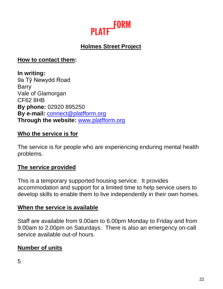

# **Holmes Street Project**

**How to contact them:**

**In writing:** 9a Tŷ Newydd Road **Barry** Vale of Glamorgan CF62 8HB **By phone:** 02920 895250 **By e-mail:** [connect@platfform.org](mailto:connect@platfform.org) **Through the website:** [www.platfform.org](http://www.platfform.org/)

## **Who the service is for**

The service is for people who are experiencing enduring mental health problems.

#### **The service provided**

This is a temporary supported housing service. It provides accommodation and support for a limited time to help service users to develop skills to enable them to live independently in their own homes.

#### **When the service is available**

Staff are available from 9.00am to 6.00pm Monday to Friday and from 9.00am to 2.00pm on Saturdays. There is also an emergency on-call service available out-of hours.

## **Number of units**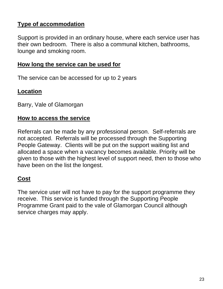## **Type of accommodation**

Support is provided in an ordinary house, where each service user has their own bedroom. There is also a communal kitchen, bathrooms, lounge and smoking room.

#### **How long the service can be used for**

The service can be accessed for up to 2 years

#### **Location**

Barry, Vale of Glamorgan

#### **How to access the service**

Referrals can be made by any professional person. Self-referrals are not accepted. Referrals will be processed through the Supporting People Gateway. Clients will be put on the support waiting list and allocated a space when a vacancy becomes available. Priority will be given to those with the highest level of support need, then to those who have been on the list the longest.

## **Cost**

The service user will not have to pay for the support programme they receive. This service is funded through the Supporting People Programme Grant paid to the vale of Glamorgan Council although service charges may apply.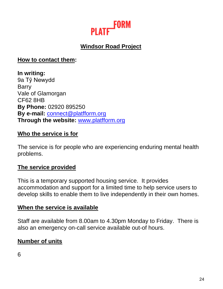

# **Windsor Road Project**

**How to contact them:**

**In writing:** 9a Tŷ Newydd **Barry** Vale of Glamorgan CF62 8HB **By Phone:** 02920 895250 **By e-mail:** [connect@platfform.org](mailto:connect@platfform.org) **Through the website:** [www.platfform.org](http://www.platfform.org/)

#### **Who the service is for**

The service is for people who are experiencing enduring mental health problems.

#### **The service provided**

This is a temporary supported housing service. It provides accommodation and support for a limited time to help service users to develop skills to enable them to live independently in their own homes.

#### **When the service is available**

Staff are available from 8.00am to 4.30pm Monday to Friday. There is also an emergency on-call service available out-of hours.

#### **Number of units**

6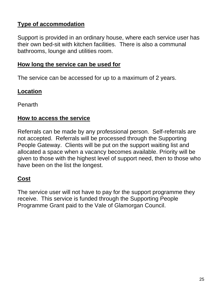## **Type of accommodation**

Support is provided in an ordinary house, where each service user has their own bed-sit with kitchen facilities. There is also a communal bathrooms, lounge and utilities room.

#### **How long the service can be used for**

The service can be accessed for up to a maximum of 2 years.

#### **Location**

Penarth

#### **How to access the service**

Referrals can be made by any professional person. Self-referrals are not accepted. Referrals will be processed through the Supporting People Gateway. Clients will be put on the support waiting list and allocated a space when a vacancy becomes available. Priority will be given to those with the highest level of support need, then to those who have been on the list the longest.

## **Cost**

The service user will not have to pay for the support programme they receive. This service is funded through the Supporting People Programme Grant paid to the Vale of Glamorgan Council.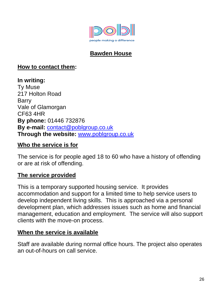

# **Bawden House**

#### **How to contact them:**

**In writing:** Ty Muse 217 Holton Road Barry Vale of Glamorgan CF63 4HR **By phone:** 01446 732876 **By e-mail:** [contact@poblgroup.co.uk](mailto:contact@poblgroup.co.uk)  **Through the website:** [www.poblgroup.co.uk](http://www.poblgroup.co.uk/)

#### **Who the service is for**

The service is for people aged 18 to 60 who have a history of offending or are at risk of offending.

#### **The service provided**

This is a temporary supported housing service. It provides accommodation and support for a limited time to help service users to develop independent living skills. This is approached via a personal development plan, which addresses issues such as home and financial management, education and employment. The service will also support clients with the move-on process.

#### **When the service is available**

Staff are available during normal office hours. The project also operates an out-of-hours on call service.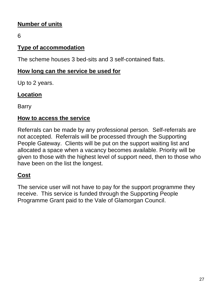# **Number of units**

6

## **Type of accommodation**

The scheme houses 3 bed-sits and 3 self-contained flats.

## **How long can the service be used for**

Up to 2 years.

## **Location**

Barry

## **How to access the service**

Referrals can be made by any professional person. Self-referrals are not accepted. Referrals will be processed through the Supporting People Gateway. Clients will be put on the support waiting list and allocated a space when a vacancy becomes available. Priority will be given to those with the highest level of support need, then to those who have been on the list the longest.

# **Cost**

The service user will not have to pay for the support programme they receive. This service is funded through the Supporting People Programme Grant paid to the Vale of Glamorgan Council.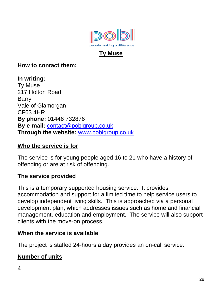

## **Ty Muse**

## **How to contact them:**

**In writing:** Ty Muse 217 Holton Road Barry Vale of Glamorgan CF63 4HR **By phone:** 01446 732876 **By e-mail:** [contact@poblgroup.co.uk](mailto:contact@poblgroup.co.uk) **Through the website:** [www.poblgroup.co.uk](http://www.poblgroup.co.uk/)

## **Who the service is for**

The service is for young people aged 16 to 21 who have a history of offending or are at risk of offending.

#### **The service provided**

This is a temporary supported housing service. It provides accommodation and support for a limited time to help service users to develop independent living skills. This is approached via a personal development plan, which addresses issues such as home and financial management, education and employment. The service will also support clients with the move-on process.

#### **When the service is available**

The project is staffed 24-hours a day provides an on-call service.

## **Number of units**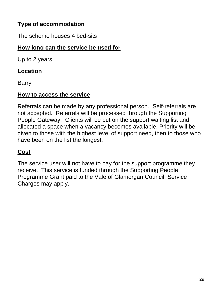## **Type of accommodation**

The scheme houses 4 bed-sits

## **How long can the service be used for**

Up to 2 years

## **Location**

**Barry** 

## **How to access the service**

Referrals can be made by any professional person. Self-referrals are not accepted. Referrals will be processed through the Supporting People Gateway. Clients will be put on the support waiting list and allocated a space when a vacancy becomes available. Priority will be given to those with the highest level of support need, then to those who have been on the list the longest.

# **Cost**

The service user will not have to pay for the support programme they receive. This service is funded through the Supporting People Programme Grant paid to the Vale of Glamorgan Council. Service Charges may apply.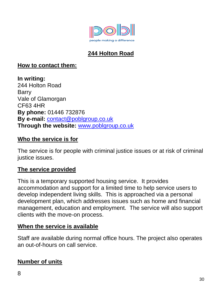

# **244 Holton Road**

## **How to contact them:**

**In writing:** 244 Holton Road Barry Vale of Glamorgan CF63 4HR **By phone:** 01446 732876 **By e-mail:** [contact@poblgroup.co.uk](mailto:contact@poblgroup.co.uk) **Through the website:** [www.poblgroup.co.uk](http://www.poblgroup.co.uk/)

#### **Who the service is for**

The service is for people with criminal justice issues or at risk of criminal justice issues.

## **The service provided**

This is a temporary supported housing service. It provides accommodation and support for a limited time to help service users to develop independent living skills. This is approached via a personal development plan, which addresses issues such as home and financial management, education and employment. The service will also support clients with the move-on process.

## **When the service is available**

Staff are available during normal office hours. The project also operates an out-of-hours on call service.

## **Number of units**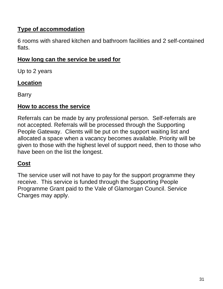# **Type of accommodation**

6 rooms with shared kitchen and bathroom facilities and 2 self-contained flats.

## **How long can the service be used for**

Up to 2 years

## **Location**

Barry

## **How to access the service**

Referrals can be made by any professional person. Self-referrals are not accepted. Referrals will be processed through the Supporting People Gateway. Clients will be put on the support waiting list and allocated a space when a vacancy becomes available. Priority will be given to those with the highest level of support need, then to those who have been on the list the longest.

## **Cost**

The service user will not have to pay for the support programme they receive. This service is funded through the Supporting People Programme Grant paid to the Vale of Glamorgan Council. Service Charges may apply.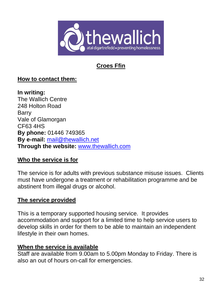

# **Croes Ffin**

## **How to contact them:**

**In writing:** The Wallich Centre 248 Holton Road Barry Vale of Glamorgan CF63 4HS **By phone:** 01446 749365 **By e-mail:** [mail@thewallich.net](mailto:mail@thewallich.net) **Through the website:** [www.thewallich.com](http://www.thewallich.com/)

## **Who the service is for**

The service is for adults with previous substance misuse issues. Clients must have undergone a treatment or rehabilitation programme and be abstinent from illegal drugs or alcohol.

## **The service provided**

This is a temporary supported housing service. It provides accommodation and support for a limited time to help service users to develop skills in order for them to be able to maintain an independent lifestyle in their own homes.

## **When the service is available**

Staff are available from 9.00am to 5.00pm Monday to Friday. There is also an out of hours on-call for emergencies.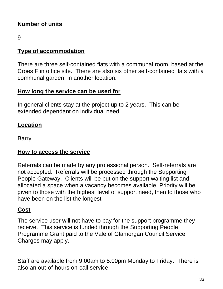# **Number of units**

9

## **Type of accommodation**

There are three self-contained flats with a communal room, based at the Croes Ffin office site. There are also six other self-contained flats with a communal garden, in another location.

## **How long the service can be used for**

In general clients stay at the project up to 2 years. This can be extended dependant on individual need.

## **Location**

Barry

# **How to access the service**

Referrals can be made by any professional person. Self-referrals are not accepted. Referrals will be processed through the Supporting People Gateway. Clients will be put on the support waiting list and allocated a space when a vacancy becomes available. Priority will be given to those with the highest level of support need, then to those who have been on the list the longest

# **Cost**

The service user will not have to pay for the support programme they receive. This service is funded through the Supporting People Programme Grant paid to the Vale of Glamorgan Council.Service Charges may apply.

Staff are available from 9.00am to 5.00pm Monday to Friday. There is also an out-of-hours on-call service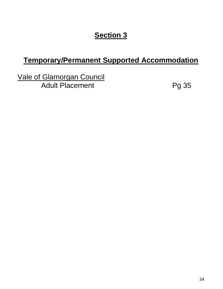# **Section 3**

# **Temporary/Permanent Supported Accommodation**

Vale of Glamorgan Council Adult Placement Pg 35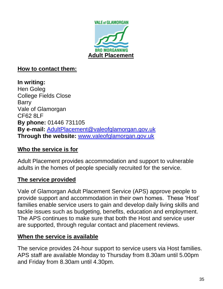

#### **How to contact them:**

**In writing:** Hen Goleg College Fields Close **Barry** Vale of Glamorgan CF62 8LF **By phone:** 01446 731105 **By e-mail:** [AdultPlacement@valeofglamorgan.gov.uk](mailto:AdultPlacement@valeofglamorgan.gov.uk) **Through the website:** [www.valeofglamorgan.gov.uk](http://www.valeofglamorgan.gov.uk/)

## **Who the service is for**

Adult Placement provides accommodation and support to vulnerable adults in the homes of people specially recruited for the service.

## **The service provided**

Vale of Glamorgan Adult Placement Service (APS) approve people to provide support and accommodation in their own homes. These 'Host' families enable service users to gain and develop daily living skills and tackle issues such as budgeting, benefits, education and employment. The APS continues to make sure that both the Host and service user are supported, through regular contact and placement reviews.

#### **When the service is available**

The service provides 24-hour support to service users via Host families. APS staff are available Monday to Thursday from 8.30am until 5.00pm and Friday from 8.30am until 4.30pm.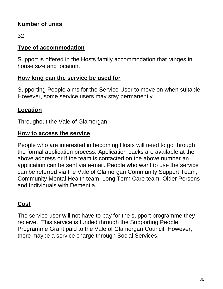## **Number of units**

32

## **Type of accommodation**

Support is offered in the Hosts family accommodation that ranges in house size and location.

## **How long can the service be used for**

Supporting People aims for the Service User to move on when suitable. However, some service users may stay permanently.

## **Location**

Throughout the Vale of Glamorgan.

## **How to access the service**

People who are interested in becoming Hosts will need to go through the formal application process. Application packs are available at the above address or if the team is contacted on the above number an application can be sent via e-mail. People who want to use the service can be referred via the Vale of Glamorgan Community Support Team, Community Mental Health team, Long Term Care team, Older Persons and Individuals with Dementia.

## **Cost**

The service user will not have to pay for the support programme they receive. This service is funded through the Supporting People Programme Grant paid to the Vale of Glamorgan Council. However, there maybe a service charge through Social Services.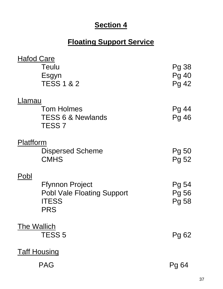## **Section 4**

## **Floating Support Service**

| <b>Hafod Care</b>  |                                                                                    |                                |
|--------------------|------------------------------------------------------------------------------------|--------------------------------|
|                    | Teulu<br>Esgyn<br><b>TESS 1 &amp; 2</b>                                            | Pg 38<br>Pg 40<br><b>Pg 42</b> |
| _lamau             |                                                                                    |                                |
|                    | <b>Tom Holmes</b><br><b>TESS 6 &amp; Newlands</b><br><b>TESS 7</b>                 | Pg 44<br>Pg 46                 |
| Platfform          |                                                                                    |                                |
|                    | <b>Dispersed Scheme</b><br><b>CMHS</b>                                             | Pg 50<br>Pg 52                 |
| Pobl               |                                                                                    |                                |
|                    | <b>Ffynnon Project</b><br><b>Pobl Vale Floating Support</b><br><b>ITESS</b><br>PRS | Pg 54<br>Pg 56<br>Pg 58        |
| <b>The Wallich</b> |                                                                                    |                                |
|                    | <b>TESS 5</b>                                                                      | Pg 62                          |
|                    | <b>Taff Housing</b>                                                                |                                |
|                    | <b>PAG</b>                                                                         | Pg 64                          |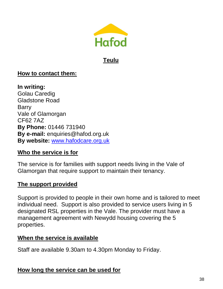

## **Teulu**

## **How to contact them:**

**In writing:** Golau Caredig Gladstone Road Barry Vale of Glamorgan CF62 7AZ **By Phone:** 01446 731940 **By e-mail:** [enquiries@hafod.org.uk](mailto:enquiries@hafod.org.uk) **By website:** [www.hafodcare.org.uk](http://www.hafodcare.org.uk/)

#### **Who the service is for**

The service is for families with support needs living in the Vale of Glamorgan that require support to maintain their tenancy.

#### **The support provided**

Support is provided to people in their own home and is tailored to meet individual need. Support is also provided to service users living in 5 designated RSL properties in the Vale. The provider must have a management agreement with Newydd housing covering the 5 properties.

#### **When the service is available**

Staff are available 9.30am to 4.30pm Monday to Friday.

## **How long the service can be used for**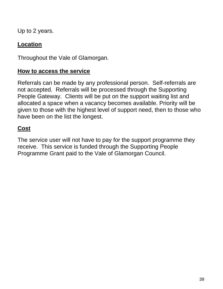Up to 2 years.

## **Location**

Throughout the Vale of Glamorgan.

## **How to access the service**

Referrals can be made by any professional person. Self-referrals are not accepted. Referrals will be processed through the Supporting People Gateway. Clients will be put on the support waiting list and allocated a space when a vacancy becomes available. Priority will be given to those with the highest level of support need, then to those who have been on the list the longest.

## **Cost**

The service user will not have to pay for the support programme they receive. This service is funded through the Supporting People Programme Grant paid to the Vale of Glamorgan Council.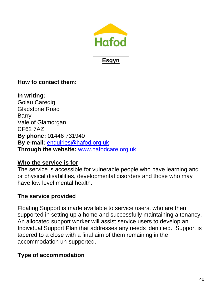

## **Esgyn**

## **How to contact them:**

**In writing:** Golau Caredig Gladstone Road Barry Vale of Glamorgan CF62 7AZ **By phone:** 01446 731940 **By e-mail:** [enquiries@hafod.org.uk](mailto:enquiries@hafod.org.uk) **Through the website:** [www.hafodcare.org.uk](http://www.hafodcare.org.uk/)

#### **Who the service is for**

The service is accessible for vulnerable people who have learning and or physical disabilities, developmental disorders and those who may have low level mental health.

## **The service provided**

Floating Support is made available to service users, who are then supported in setting up a home and successfully maintaining a tenancy. An allocated support worker will assist service users to develop an Individual Support Plan that addresses any needs identified. Support is tapered to a close with a final aim of them remaining in the accommodation un-supported.

#### **Type of accommodation**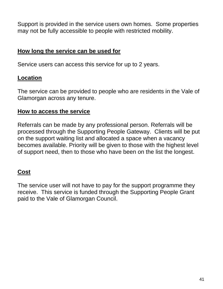Support is provided in the service users own homes. Some properties may not be fully accessible to people with restricted mobility.

## **How long the service can be used for**

Service users can access this service for up to 2 years.

## **Location**

The service can be provided to people who are residents in the Vale of Glamorgan across any tenure.

#### **How to access the service**

Referrals can be made by any professional person. Referrals will be processed through the Supporting People Gateway. Clients will be put on the support waiting list and allocated a space when a vacancy becomes available. Priority will be given to those with the highest level of support need, then to those who have been on the list the longest.

## **Cost**

The service user will not have to pay for the support programme they receive. This service is funded through the Supporting People Grant paid to the Vale of Glamorgan Council.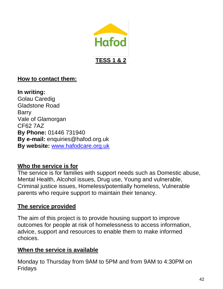

## **TESS 1 & 2**

#### **How to contact them:**

**In writing:** Golau Caredig Gladstone Road Barry Vale of Glamorgan CF62 7AZ **By Phone:** 01446 731940 **By e-mail:** [enquiries@hafod.org.uk](mailto:enquiries@hafod.org.uk)  **By website:** [www.hafodcare.org.uk](http://www.hafodcare.org.uk/)

## **Who the service is for**

The service is for families with support needs such as Domestic abuse, Mental Health, Alcohol issues, Drug use, Young and vulnerable, Criminal justice issues, Homeless/potentially homeless, Vulnerable parents who require support to maintain their tenancy.

## **The service provided**

The aim of this project is to provide housing support to improve outcomes for people at risk of homelessness to access information, advice, support and resources to enable them to make informed choices.

## **When the service is available**

Monday to Thursday from 9AM to 5PM and from 9AM to 4:30PM on Fridays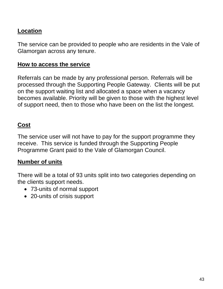## **Location**

The service can be provided to people who are residents in the Vale of Glamorgan across any tenure.

#### **How to access the service**

Referrals can be made by any professional person. Referrals will be processed through the Supporting People Gateway. Clients will be put on the support waiting list and allocated a space when a vacancy becomes available. Priority will be given to those with the highest level of support need, then to those who have been on the list the longest.

## **Cost**

The service user will not have to pay for the support programme they receive. This service is funded through the Supporting People Programme Grant paid to the Vale of Glamorgan Council.

## **Number of units**

There will be a total of 93 units split into two categories depending on the clients support needs.

- 73-units of normal support
- 20-units of crisis support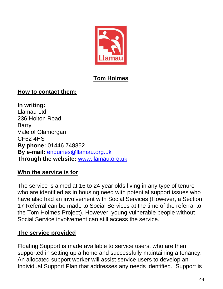

## **Tom Holmes**

## **How to contact them:**

**In writing:** Llamau Ltd 236 Holton Road Barry Vale of Glamorgan CF62 4HS **By phone:** 01446 748852 **By e-mail:** [enquiries@llamau.org.uk](mailto:enquiries@llamau.org.uk) **Through the website:** [www.llamau.org.uk](http://www.llamau.org.uk/)

## **Who the service is for**

The service is aimed at 16 to 24 year olds living in any type of tenure who are identified as in housing need with potential support issues who have also had an involvement with Social Services (However, a Section 17 Referral can be made to Social Services at the time of the referral to the Tom Holmes Project). However, young vulnerable people without Social Service involvement can still access the service.

## **The service provided**

Floating Support is made available to service users, who are then supported in setting up a home and successfully maintaining a tenancy. An allocated support worker will assist service users to develop an Individual Support Plan that addresses any needs identified. Support is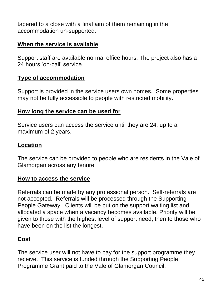tapered to a close with a final aim of them remaining in the accommodation un-supported.

## **When the service is available**

Support staff are available normal office hours. The project also has a 24 hours 'on-call' service.

## **Type of accommodation**

Support is provided in the service users own homes. Some properties may not be fully accessible to people with restricted mobility.

## **How long the service can be used for**

Service users can access the service until they are 24, up to a maximum of 2 years.

## **Location**

The service can be provided to people who are residents in the Vale of Glamorgan across any tenure.

## **How to access the service**

Referrals can be made by any professional person. Self-referrals are not accepted. Referrals will be processed through the Supporting People Gateway. Clients will be put on the support waiting list and allocated a space when a vacancy becomes available. Priority will be given to those with the highest level of support need, then to those who have been on the list the longest.

## **Cost**

The service user will not have to pay for the support programme they receive. This service is funded through the Supporting People Programme Grant paid to the Vale of Glamorgan Council.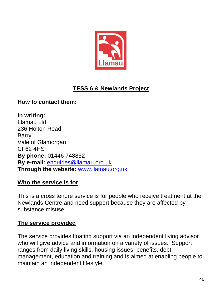

## **TESS 6 & Newlands Project**

## **How to contact them:**

**In writing:** Llamau Ltd 236 Holton Road Barry Vale of Glamorgan CF62 4HS **By phone:** 01446 748852 **By e-mail:** [enquiries@llamau.org.uk](mailto:enquiries@llamau.org.uk) **Through the website:** [www.llamau.org.uk](http://www.llamau.org.uk/)

#### **Who the service is for**

This is a cross tenure service is for people who receive treatment at the Newlands Centre and need support because they are affected by substance misuse.

#### **The service provided**

The service provides floating support via an independent living advisor who will give advice and information on a variety of issues. Support ranges from daily living skills, housing issues, benefits, debt management, education and training and is aimed at enabling people to maintain an independent lifestyle.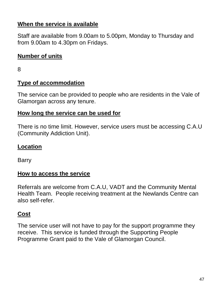## **When the service is available**

Staff are available from 9.00am to 5.00pm, Monday to Thursday and from 9.00am to 4.30pm on Fridays.

## **Number of units**

8

## **Type of accommodation**

The service can be provided to people who are residents in the Vale of Glamorgan across any tenure.

## **How long the service can be used for**

There is no time limit. However, service users must be accessing C.A.U (Community Addiction Unit).

## **Location**

Barry

#### **How to access the service**

Referrals are welcome from C.A.U, VADT and the Community Mental Health Team. People receiving treatment at the Newlands Centre can also self-refer.

## **Cost**

The service user will not have to pay for the support programme they receive. This service is funded through the Supporting People Programme Grant paid to the Vale of Glamorgan Council.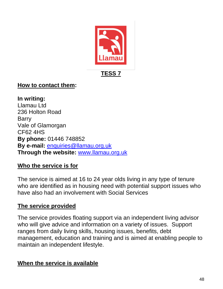

**TESS 7**

## **How to contact them:**

**In writing:** Llamau Ltd 236 Holton Road Barry Vale of Glamorgan CF62 4HS **By phone:** 01446 748852 **By e-mail:** [enquiries@llamau.org.uk](mailto:enquiries@llamau.org.uk) **Through the website:** [www.llamau.org.uk](http://www.llamau.org.uk/)

## **Who the service is for**

The service is aimed at 16 to 24 year olds living in any type of tenure who are identified as in housing need with potential support issues who have also had an involvement with Social Services

## **The service provided**

The service provides floating support via an independent living advisor who will give advice and information on a variety of issues. Support ranges from daily living skills, housing issues, benefits, debt management, education and training and is aimed at enabling people to maintain an independent lifestyle.

## **When the service is available**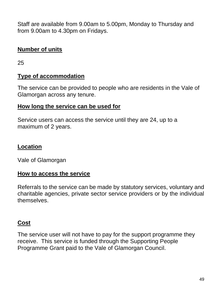Staff are available from 9.00am to 5.00pm, Monday to Thursday and from 9.00am to 4.30pm on Fridays.

## **Number of units**

25

## **Type of accommodation**

The service can be provided to people who are residents in the Vale of Glamorgan across any tenure.

## **How long the service can be used for**

Service users can access the service until they are 24, up to a maximum of 2 years.

## **Location**

Vale of Glamorgan

## **How to access the service**

Referrals to the service can be made by statutory services, voluntary and charitable agencies, private sector service providers or by the individual themselves.

## **Cost**

The service user will not have to pay for the support programme they receive. This service is funded through the Supporting People Programme Grant paid to the Vale of Glamorgan Council.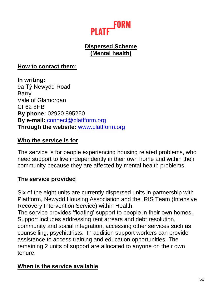

## **Dispersed Scheme (Mental health)**

#### **How to contact them:**

**In writing:** 9a Tŷ Newydd Road Barry Vale of Glamorgan CF62 8HB **By phone:** 02920 895250 **By e-mail:** [connect@platfform.org](mailto:connect@platfform.org) **Through the website:** [www.platfform.org](http://www.platfform.org/)

#### **Who the service is for**

The service is for people experiencing housing related problems, who need support to live independently in their own home and within their community because they are affected by mental health problems.

#### **The service provided**

Six of the eight units are currently dispersed units in partnership with Platfform, Newydd Housing Association and the IRIS Team (Intensive Recovery Intervention Service) within Health.

The service provides 'floating' support to people in their own homes. Support includes addressing rent arrears and debt resolution, community and social integration, accessing other services such as counselling, psychiatrists. In addition support workers can provide assistance to access training and education opportunities. The remaining 2 units of support are allocated to anyone on their own tenure.

## **When is the service available**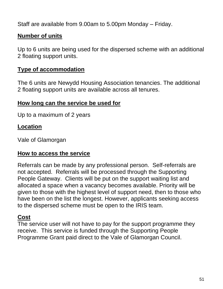Staff are available from 9.00am to 5.00pm Monday – Friday.

## **Number of units**

Up to 6 units are being used for the dispersed scheme with an additional 2 floating support units.

## **Type of accommodation**

The 6 units are Newydd Housing Association tenancies. The additional 2 floating support units are available across all tenures.

#### **How long can the service be used for**

Up to a maximum of 2 years

## **Location**

Vale of Glamorgan

#### **How to access the service**

Referrals can be made by any professional person. Self-referrals are not accepted. Referrals will be processed through the Supporting People Gateway. Clients will be put on the support waiting list and allocated a space when a vacancy becomes available. Priority will be given to those with the highest level of support need, then to those who have been on the list the longest. However, applicants seeking access to the dispersed scheme must be open to the IRIS team.

#### **Cost**

The service user will not have to pay for the support programme they receive. This service is funded through the Supporting People Programme Grant paid direct to the Vale of Glamorgan Council.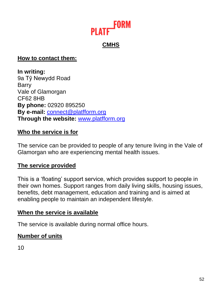

## **CMHS**

#### **How to contact them:**

**In writing:** 9a Tŷ Newydd Road Barry Vale of Glamorgan CF62 8HB **By phone:** 02920 895250 **By e-mail:** [connect@platfform.org](mailto:connect@platfform.org) **Through the website:** [www.platfform.org](http://www.platfform.org/)

## **Who the service is for**

The service can be provided to people of any tenure living in the Vale of Glamorgan who are experiencing mental health issues.

#### **The service provided**

This is a 'floating' support service, which provides support to people in their own homes. Support ranges from daily living skills, housing issues, benefits, debt management, education and training and is aimed at enabling people to maintain an independent lifestyle.

#### **When the service is available**

The service is available during normal office hours.

## **Number of units**

10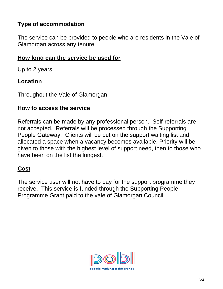## **Type of accommodation**

The service can be provided to people who are residents in the Vale of Glamorgan across any tenure.

## **How long can the service be used for**

Up to 2 years.

## **Location**

Throughout the Vale of Glamorgan.

## **How to access the service**

Referrals can be made by any professional person. Self-referrals are not accepted. Referrals will be processed through the Supporting People Gateway. Clients will be put on the support waiting list and allocated a space when a vacancy becomes available. Priority will be given to those with the highest level of support need, then to those who have been on the list the longest.

## **Cost**

The service user will not have to pay for the support programme they receive. This service is funded through the Supporting People Programme Grant paid to the vale of Glamorgan Council

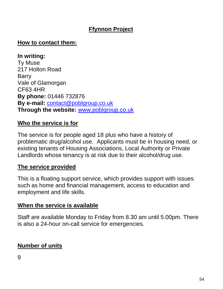## **Ffynnon Project**

## **How to contact them:**

**In writing:** Ty Muse 217 Holton Road Barry Vale of Glamorgan CF63 4HR **By phone:** 01446 732876 **By e-mail:** [contact@poblgroup.co.uk](mailto:contact@poblgroup.co.uk) **Through the website:** [www.poblgroup.co.uk](http://www.poblgroup.co.uk/)

## **Who the service is for**

The service is for people aged 18 plus who have a history of problematic drug/alcohol use. Applicants must be in housing need, or existing tenants of Housing Associations, Local Authority or Private Landlords whose tenancy is at risk due to their alcohol/drug use.

#### **The service provided**

This is a floating support service, which provides support with issues such as home and financial management, access to education and employment and life skills.

#### **When the service is available**

Staff are available Monday to Friday from 8.30 am until 5.00pm. There is also a 24-hour on-call service for emergencies.

## **Number of units**

9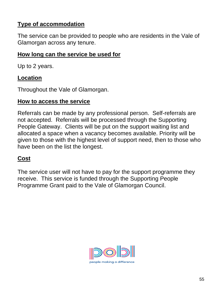## **Type of accommodation**

The service can be provided to people who are residents in the Vale of Glamorgan across any tenure.

## **How long can the service be used for**

Up to 2 years.

## **Location**

Throughout the Vale of Glamorgan.

## **How to access the service**

Referrals can be made by any professional person. Self-referrals are not accepted. Referrals will be processed through the Supporting People Gateway. Clients will be put on the support waiting list and allocated a space when a vacancy becomes available. Priority will be given to those with the highest level of support need, then to those who have been on the list the longest.

## **Cost**

The service user will not have to pay for the support programme they receive. This service is funded through the Supporting People Programme Grant paid to the Vale of Glamorgan Council.

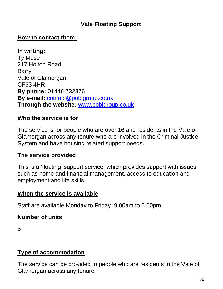## **Vale Floating Support**

## **How to contact them:**

#### **In writing:**

Ty Muse 217 Holton Road **Barry** Vale of Glamorgan CF63 4HR **By phone:** 01446 732876 **By e-mail:** [contact@poblgroup.co.uk](mailto:contact@poblgroup.co.uk) **Through the website:** [www.poblgroup.co.uk](http://www.poblgroup.co.uk/)

## **Who the service is for**

The service is for people who are over 16 and residents in the Vale of Glamorgan across any tenure who are involved in the Criminal Justice System and have housing related support needs.

#### **The service provided**

This is a 'floating' support service, which provides support with issues such as home and financial management, access to education and employment and life skills.

#### **When the service is available**

Staff are available Monday to Friday, 9.00am to 5.00pm

## **Number of units**

5

## **Type of accommodation**

The service can be provided to people who are residents in the Vale of Glamorgan across any tenure.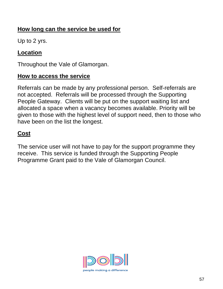## **How long can the service be used for**

Up to 2 yrs.

## **Location**

Throughout the Vale of Glamorgan.

## **How to access the service**

Referrals can be made by any professional person. Self-referrals are not accepted. Referrals will be processed through the Supporting People Gateway. Clients will be put on the support waiting list and allocated a space when a vacancy becomes available. Priority will be given to those with the highest level of support need, then to those who have been on the list the longest.

## **Cost**

The service user will not have to pay for the support programme they receive. This service is funded through the Supporting People Programme Grant paid to the Vale of Glamorgan Council.

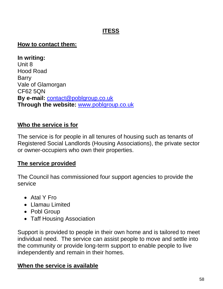## **ITESS**

#### **How to contact them:**

**In writing:** Unit 8 Hood Road Barry Vale of Glamorgan CF62 5QN **By e-mail:** [contact@poblgroup.co.uk](mailto:contact@poblgroup.co.uk) **Through the website:** [www.poblgroup.co.uk](http://www.poblgroup.co.uk/)

## **Who the service is for**

The service is for people in all tenures of housing such as tenants of Registered Social Landlords (Housing Associations), the private sector or owner-occupiers who own their properties.

## **The service provided**

The Council has commissioned four support agencies to provide the service

- Atal Y Fro
- Llamau Limited
- Pobl Group
- Taff Housing Association

Support is provided to people in their own home and is tailored to meet individual need. The service can assist people to move and settle into the community or provide long-term support to enable people to live independently and remain in their homes.

## **When the service is available**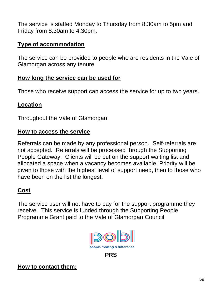The service is staffed Monday to Thursday from 8.30am to 5pm and Friday from 8.30am to 4.30pm.

## **Type of accommodation**

The service can be provided to people who are residents in the Vale of Glamorgan across any tenure.

#### **How long the service can be used for**

Those who receive support can access the service for up to two years.

## **Location**

Throughout the Vale of Glamorgan.

## **How to access the service**

Referrals can be made by any professional person. Self-referrals are not accepted. Referrals will be processed through the Supporting People Gateway. Clients will be put on the support waiting list and allocated a space when a vacancy becomes available. Priority will be given to those with the highest level of support need, then to those who have been on the list the longest.

## **Cost**

The service user will not have to pay for the support programme they receive. This service is funded through the Supporting People Programme Grant paid to the Vale of Glamorgan Council





**How to contact them:**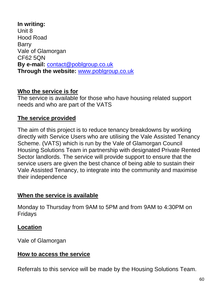**In writing:** Unit 8 Hood Road Barry Vale of Glamorgan CF62 5QN **By e-mail:** [contact@poblgroup.co.uk](mailto:contact@poblgroup.co.uk) **Through the website:** [www.poblgroup.co.uk](http://www.poblgroup.co.uk/)

#### **Who the service is for**

The service is available for those who have housing related support needs and who are part of the VATS

## **The service provided**

The aim of this project is to reduce tenancy breakdowns by working directly with Service Users who are utilising the Vale Assisted Tenancy Scheme. (VATS) which is run by the Vale of Glamorgan Council Housing Solutions Team in partnership with designated Private Rented Sector landlords. The service will provide support to ensure that the service users are given the best chance of being able to sustain their Vale Assisted Tenancy, to integrate into the community and maximise their independence

## **When the service is available**

Monday to Thursday from 9AM to 5PM and from 9AM to 4:30PM on Fridays

## **Location**

Vale of Glamorgan

#### **How to access the service**

Referrals to this service will be made by the Housing Solutions Team.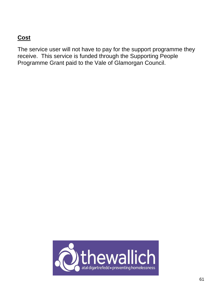## **Cost**

The service user will not have to pay for the support programme they receive. This service is funded through the Supporting People Programme Grant paid to the Vale of Glamorgan Council.

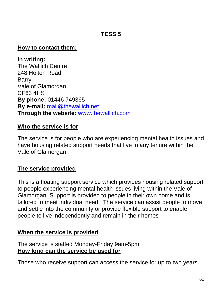## **TESS 5**

#### **How to contact them:**

**In writing:** The Wallich Centre 248 Holton Road Barry Vale of Glamorgan CF63 4HS **By phone:** 01446 749365 **By e-mail:** [mail@thewallich.net](mailto:mail@thewallich.net) **Through the website:** [www.thewallich.com](http://www.thewallich.com/)

## **Who the service is for**

The service is for people who are experiencing mental health issues and have housing related support needs that live in any tenure within the Vale of Glamorgan

## **The service provided**

This is a floating support service which provides housing related support to people experiencing mental health issues living within the Vale of Glamorgan. Support is provided to people in their own home and is tailored to meet individual need. The service can assist people to move and settle into the community or provide flexible support to enable people to live independently and remain in their homes

## **When the service is provided**

The service is staffed Monday-Friday 9am-5pm **How long can the service be used for**

Those who receive support can access the service for up to two years.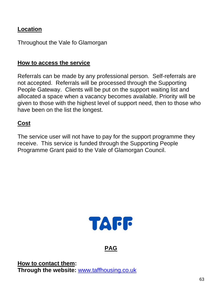## **Location**

Throughout the Vale fo Glamorgan

#### **How to access the service**

Referrals can be made by any professional person. Self-referrals are not accepted. Referrals will be processed through the Supporting People Gateway. Clients will be put on the support waiting list and allocated a space when a vacancy becomes available. Priority will be given to those with the highest level of support need, then to those who have been on the list the longest.

## **Cost**

The service user will not have to pay for the support programme they receive. This service is funded through the Supporting People Programme Grant paid to the Vale of Glamorgan Council.



## **PAG**

**How to contact them: Through the website:** [www.taffhousing.co.uk](http://www.taffhousing.co.uk/)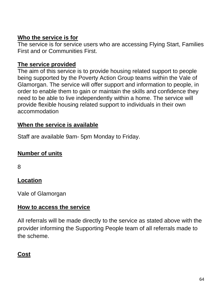## **Who the service is for**

The service is for service users who are accessing Flying Start, Families First and or Communities First.

## **The service provided**

The aim of this service is to provide housing related support to people being supported by the Poverty Action Group teams within the Vale of Glamorgan. The service will offer support and information to people, in order to enable them to gain or maintain the skills and confidence they need to be able to live independently within a home. The service will provide flexible housing related support to individuals in their own accommodation

## **When the service is available**

Staff are available 9am- 5pm Monday to Friday.

## **Number of units**

8

## **Location**

Vale of Glamorgan

#### **How to access the service**

All referrals will be made directly to the service as stated above with the provider informing the Supporting People team of all referrals made to the scheme.

## **Cost**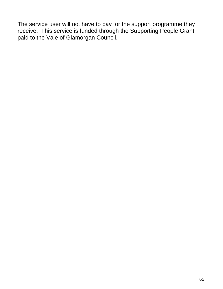The service user will not have to pay for the support programme they receive. This service is funded through the Supporting People Grant paid to the Vale of Glamorgan Council.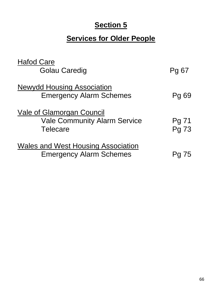## **Section 5**

# **Services for Older People**

| <b>Hafod Care</b><br><b>Golau Caredig</b>                                           | Pg 67          |
|-------------------------------------------------------------------------------------|----------------|
| <b>Newydd Housing Association</b><br><b>Emergency Alarm Schemes</b>                 | Pg 69          |
| Vale of Glamorgan Council<br><b>Vale Community Alarm Service</b><br><b>Telecare</b> | Pg 71<br>Pg 73 |
| <b>Wales and West Housing Association</b><br><b>Emergency Alarm Schemes</b>         |                |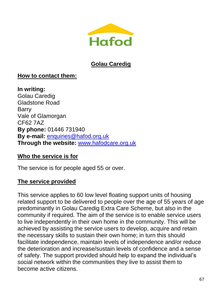

## **Golau Caredig**

## **How to contact them:**

**In writing:** Golau Caredig Gladstone Road Barry Vale of Glamorgan CF62 7AZ **By phone:** 01446 731940 **By e-mail:** [enquiries@hafod.org.uk](mailto:enquiries@hafod.org.uk) **Through the website:** [www.hafodcare.org.uk](http://www.hafodcare.org.uk/)

## **Who the service is for**

The service is for people aged 55 or over.

## **The service provided**

This service applies to 60 low level floating support units of housing related support to be delivered to people over the age of 55 years of age predominantly in Golau Caredig Extra Care Scheme, but also in the community if required. The aim of the service is to enable service users to live independently in their own home in the community. This will be achieved by assisting the service users to develop, acquire and retain the necessary skills to sustain their own home; in turn this should facilitate independence, maintain levels of independence and/or reduce the deterioration and increase/sustain levels of confidence and a sense of safety. The support provided should help to expand the individual's social network within the communities they live to assist them to become active citizens.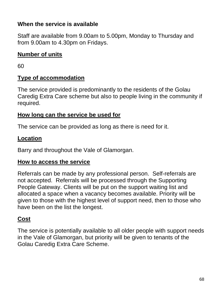## **When the service is available**

Staff are available from 9.00am to 5.00pm, Monday to Thursday and from 9.00am to 4.30pm on Fridays.

## **Number of units**

60

## **Type of accommodation**

The service provided is predominantly to the residents of the Golau Caredig Extra Care scheme but also to people living in the community if required.

## **How long can the service be used for**

The service can be provided as long as there is need for it.

#### **Location**

Barry and throughout the Vale of Glamorgan.

#### **How to access the service**

Referrals can be made by any professional person. Self-referrals are not accepted. Referrals will be processed through the Supporting People Gateway. Clients will be put on the support waiting list and allocated a space when a vacancy becomes available. Priority will be given to those with the highest level of support need, then to those who have been on the list the longest.

## **Cost**

The service is potentially available to all older people with support needs in the Vale of Glamorgan, but priority will be given to tenants of the Golau Caredig Extra Care Scheme.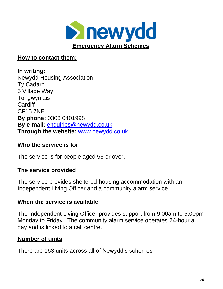

#### **How to contact them:**

**In writing:** Newydd Housing Association Ty Cadarn 5 Village Way **Tongwynlais Cardiff** CF15 7NE **By phone:** 0303 0401998 **By e-mail:** [enquiries@newydd.co.uk](mailto:enquiries@newydd.co.uk) **Through the website:** [www.newydd.co.uk](http://www.newydd.co.uk/)

#### **Who the service is for**

The service is for people aged 55 or over.

#### **The service provided**

The service provides sheltered-housing accommodation with an Independent Living Officer and a community alarm service.

#### **When the service is available**

The Independent Living Officer provides support from 9.00am to 5.00pm Monday to Friday. The community alarm service operates 24-hour a day and is linked to a call centre.

## **Number of units**

There are 163 units across all of Newydd's schemes.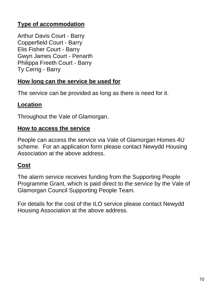## **Type of accommodation**

Arthur Davis Court - Barry Copperfield Court - Barry Elis Fisher Court - Barry Gwyn James Court - Penarth Philippa Freeth Court - Barry Ty Cerrig - Barry

## **How long can the service be used for**

The service can be provided as long as there is need for it.

## **Location**

Throughout the Vale of Glamorgan.

#### **How to access the service**

People can access the service via Vale of Glamorgan Homes 4U scheme. For an application form please contact Newydd Housing Association at the above address.

## **Cost**

The alarm service receives funding from the Supporting People Programme Grant, which is paid direct to the service by the Vale of Glamorgan Council Supporting People Team.

For details for the cost of the ILO service please contact Newydd Housing Association at the above address.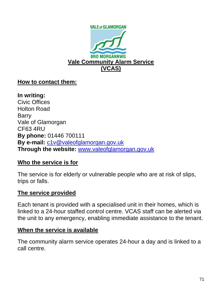

#### **How to contact them:**

**In writing:** Civic Offices Holton Road Barry Vale of Glamorgan CF63 4RU **By phone:** 01446 700111 **By e-mail:** [c1v@valeofglamorgan.gov.uk](mailto:c1v@valeofglamorgan.gov.uk) **Through the website:** [www.valeofglamorgan.gov.uk](http://www.valeofglamorgan.gov.uk/)

## **Who the service is for**

The service is for elderly or vulnerable people who are at risk of slips, trips or falls.

#### **The service provided**

Each tenant is provided with a specialised unit in their homes, which is linked to a 24-hour staffed control centre. VCAS staff can be alerted via the unit to any emergency, enabling immediate assistance to the tenant.

#### **When the service is available**

The community alarm service operates 24-hour a day and is linked to a call centre.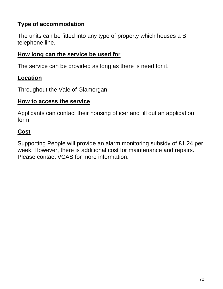# **Type of accommodation**

The units can be fitted into any type of property which houses a BT telephone line.

## **How long can the service be used for**

The service can be provided as long as there is need for it.

## **Location**

Throughout the Vale of Glamorgan.

### **How to access the service**

Applicants can contact their housing officer and fill out an application form.

# **Cost**

Supporting People will provide an alarm monitoring subsidy of £1.24 per week. However, there is additional cost for maintenance and repairs. Please contact VCAS for more information.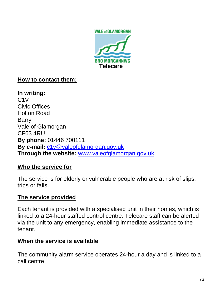

# **How to contact them:**

**In writing:** C1V Civic Offices Holton Road Barry Vale of Glamorgan CF63 4RU **By phone:** 01446 700111 **By e-mail:** [c1v@valeofglamorgan.gov.uk](mailto:c1v@valeofglamorgan.gov.uk) **Through the website:** [www.valeofglamorgan.gov.uk](http://www.valeofglamorgan.gov.uk/)

### **Who the service for**

The service is for elderly or vulnerable people who are at risk of slips, trips or falls.

## **The service provided**

Each tenant is provided with a specialised unit in their homes, which is linked to a 24-hour staffed control centre. Telecare staff can be alerted via the unit to any emergency, enabling immediate assistance to the tenant.

### **When the service is available**

The community alarm service operates 24-hour a day and is linked to a call centre.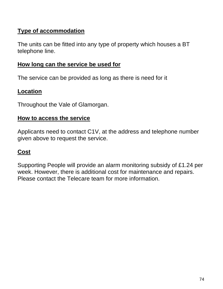# **Type of accommodation**

The units can be fitted into any type of property which houses a BT telephone line.

## **How long can the service be used for**

The service can be provided as long as there is need for it

### **Location**

Throughout the Vale of Glamorgan.

#### **How to access the service**

Applicants need to contact C1V, at the address and telephone number given above to request the service.

## **Cost**

Supporting People will provide an alarm monitoring subsidy of £1.24 per week. However, there is additional cost for maintenance and repairs. Please contact the Telecare team for more information.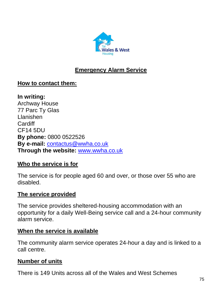

# **Emergency Alarm Service**

## **How to contact them:**

**In writing:** Archway House 77 Parc Ty Glas Llanishen **Cardiff** CF14 5DU **By phone:** 0800 0522526 **By e-mail:** [contactus@wwha.co.uk](mailto:contactus@wwha.co.uk) **Through the website:** [www.wwha.co.uk](http://www.wwha.co.uk/)

### **Who the service is for**

The service is for people aged 60 and over, or those over 55 who are disabled.

#### **The service provided**

The service provides sheltered-housing accommodation with an opportunity for a daily Well-Being service call and a 24-hour community alarm service.

#### **When the service is available**

The community alarm service operates 24-hour a day and is linked to a call centre.

### **Number of units**

There is 149 Units across all of the Wales and West Schemes